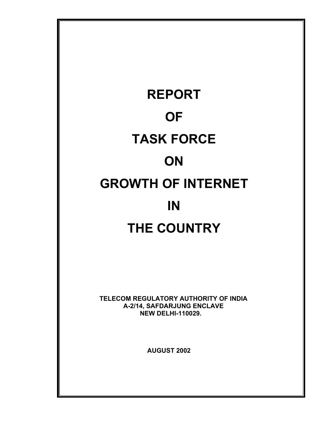# **REPORT OF TASK FORCE ON GROWTH OF INTERNET IN THE COUNTRY**

 **TELECOM REGULATORY AUTHORITY OF INDIA A-2/14, SAFDARJUNG ENCLAVE NEW DELHI-110029.** 

 **AUGUST 2002**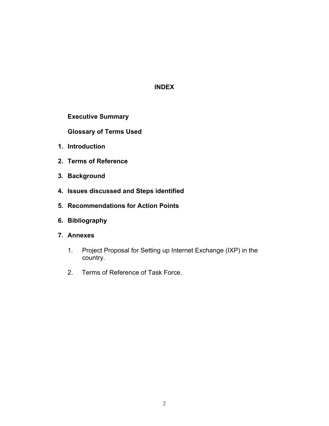# **INDEX**

**Executive Summary** 

**Glossary of Terms Used** 

- **1. Introduction**
- **2. Terms of Reference**
- **3. Background**
- **4. Issues discussed and Steps identified**
- **5. Recommendations for Action Points**
- **6. Bibliography**
- **7. Annexes** 
	- 1. Project Proposal for Setting up Internet Exchange (IXP) in the country.
	- 2. Terms of Reference of Task Force.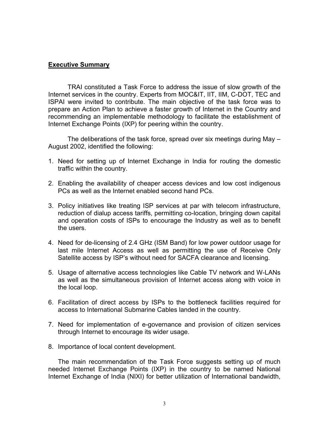#### **Executive Summary**

 TRAI constituted a Task Force to address the issue of slow growth of the Internet services in the country. Experts from MOC&IT, IIT, IIM, C-DOT, TEC and ISPAI were invited to contribute. The main objective of the task force was to prepare an Action Plan to achieve a faster growth of Internet in the Country and recommending an implementable methodology to facilitate the establishment of Internet Exchange Points (IXP) for peering within the country.

The deliberations of the task force, spread over six meetings during May – August 2002, identified the following:

- 1. Need for setting up of Internet Exchange in India for routing the domestic traffic within the country.
- 2. Enabling the availability of cheaper access devices and low cost indigenous PCs as well as the Internet enabled second hand PCs.
- 3. Policy initiatives like treating ISP services at par with telecom infrastructure, reduction of dialup access tariffs, permitting co-location, bringing down capital and operation costs of ISPs to encourage the Industry as well as to benefit the users.
- 4. Need for de-licensing of 2.4 GHz (ISM Band) for low power outdoor usage for last mile Internet Access as well as permitting the use of Receive Only Satellite access by ISP's without need for SACFA clearance and licensing.
- 5. Usage of alternative access technologies like Cable TV network and W-LANs as well as the simultaneous provision of Internet access along with voice in the local loop.
- 6. Facilitation of direct access by ISPs to the bottleneck facilities required for access to International Submarine Cables landed in the country.
- 7. Need for implementation of e-governance and provision of citizen services through Internet to encourage its wider usage.
- 8. Importance of local content development.

The main recommendation of the Task Force suggests setting up of much needed Internet Exchange Points (IXP) in the country to be named National Internet Exchange of India (NIXI) for better utilization of International bandwidth,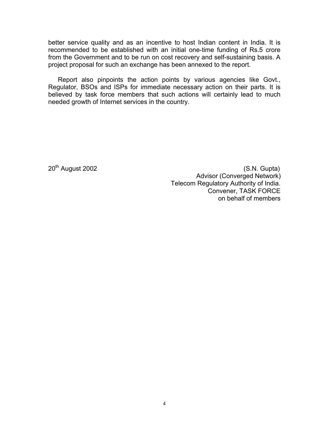better service quality and as an incentive to host Indian content in India. It is recommended to be established with an initial one-time funding of Rs.5 crore from the Government and to be run on cost recovery and self-sustaining basis. A project proposal for such an exchange has been annexed to the report.

Report also pinpoints the action points by various agencies like Govt., Regulator, BSOs and ISPs for immediate necessary action on their parts. It is believed by task force members that such actions will certainly lead to much needed growth of Internet services in the country.

20<sup>th</sup> August 2002 (S.N. Gupta) Advisor (Converged Network) Telecom Regulatory Authority of India. Convener, TASK FORCE on behalf of members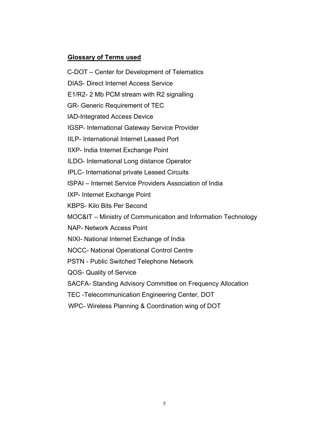# **Glossary of Terms used**

C-DOT – Center for Development of Telematics

DIAS- Direct Internet Access Service

E1/R2- 2 Mb PCM stream with R2 signalling

GR- Generic Requirement of TEC

IAD-Integrated Access Device

IGSP- International Gateway Service Provider

IILP- International Internet Leased Port

IIXP- India Internet Exchange Point

ILDO- International Long distance Operator

IPLC- International private Leased Circuits

ISPAI – Internet Service Providers Association of India

IXP- Internet Exchange Point

KBPS- Kilo Bits Per Second

MOC&IT – Ministry of Communication and Information Technology

NAP- Network Access Point

NIXI- National Internet Exchange of India

NOCC- National Operational Control Centre

PSTN - Public Switched Telephone Network

QOS- Quality of Service

SACFA- Standing Advisory Committee on Frequency Allocation

TEC -Telecommunication Engineering Center, DOT

WPC- Wireless Planning & Coordination wing of DOT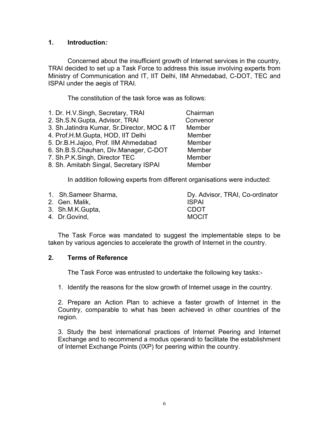#### **1. Introduction***:*

Concerned about the insufficient growth of Internet services in the country, TRAI decided to set up a Task Force to address this issue involving experts from Ministry of Communication and IT, IIT Delhi, IIM Ahmedabad, C-DOT, TEC and ISPAI under the aegis of TRAI.

The constitution of the task force was as follows:

| 1. Dr. H.V.Singh, Secretary, TRAI             | Chairman |
|-----------------------------------------------|----------|
| 2. Sh.S.N.Gupta, Advisor, TRAI                | Convenor |
| 3. Sh. Jatindra Kumar, Sr. Director, MOC & IT | Member   |
| 4. Prof.H.M.Gupta, HOD, IIT Delhi             | Member   |
| 5. Dr.B.H.Jajoo, Prof. IIM Ahmedabad          | Member   |
| 6. Sh.B.S.Chauhan, Div.Manager, C-DOT         | Member   |
| 7. Sh.P.K.Singh, Director TEC                 | Member   |
| 8. Sh. Amitabh Singal, Secretary ISPAI        | Member   |
|                                               |          |

In addition following experts from different organisations were inducted:

| 1. Sh. Sameer Sharma, | Dy. Advisor, TRAI, Co-ordinator |
|-----------------------|---------------------------------|
| 2. Gen. Malik,        | <b>ISPAI</b>                    |
| 3. Sh.M.K.Gupta,      | <b>CDOT</b>                     |
| 4. Dr. Govind,        | <b>MOCIT</b>                    |

The Task Force was mandated to suggest the implementable steps to be taken by various agencies to accelerate the growth of Internet in the country.

#### **2. Terms of Reference**

The Task Force was entrusted to undertake the following key tasks:-

1. Identify the reasons for the slow growth of Internet usage in the country.

2. Prepare an Action Plan to achieve a faster growth of Internet in the Country, comparable to what has been achieved in other countries of the region.

3. Study the best international practices of Internet Peering and Internet Exchange and to recommend a modus operandi to facilitate the establishment of Internet Exchange Points (IXP) for peering within the country.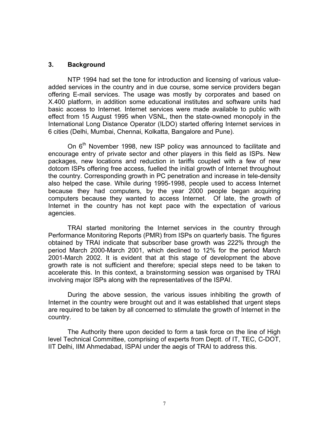#### **3. Background**

NTP 1994 had set the tone for introduction and licensing of various valueadded services in the country and in due course, some service providers began offering E-mail services. The usage was mostly by corporates and based on X.400 platform, in addition some educational institutes and software units had basic access to Internet. Internet services were made available to public with effect from 15 August 1995 when VSNL, then the state-owned monopoly in the International Long Distance Operator (ILDO) started offering Internet services in 6 cities (Delhi, Mumbai, Chennai, Kolkatta, Bangalore and Pune).

On 6<sup>th</sup> November 1998, new ISP policy was announced to facilitate and encourage entry of private sector and other players in this field as ISPs. New packages, new locations and reduction in tariffs coupled with a few of new dotcom ISPs offering free access, fuelled the initial growth of Internet throughout the country. Corresponding growth in PC penetration and increase in tele-density also helped the case. While during 1995-1998, people used to access Internet because they had computers, by the year 2000 people began acquiring computers because they wanted to access Internet. Of late, the growth of Internet in the country has not kept pace with the expectation of various agencies.

 TRAI started monitoring the Internet services in the country through Performance Monitoring Reports (PMR) from ISPs on quarterly basis. The figures obtained by TRAI indicate that subscriber base growth was 222% through the period March 2000-March 2001, which declined to 12% for the period March 2001-March 2002. It is evident that at this stage of development the above growth rate is not sufficient and therefore; special steps need to be taken to accelerate this. In this context, a brainstorming session was organised by TRAI involving major ISPs along with the representatives of the ISPAI.

During the above session, the various issues inhibiting the growth of Internet in the country were brought out and it was established that urgent steps are required to be taken by all concerned to stimulate the growth of Internet in the country.

The Authority there upon decided to form a task force on the line of High level Technical Committee, comprising of experts from Deptt. of IT, TEC, C-DOT, IIT Delhi, IIM Ahmedabad, ISPAI under the aegis of TRAI to address this.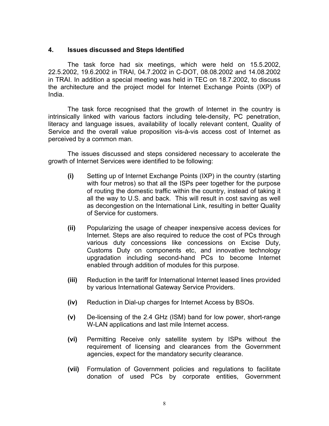#### **4. Issues discussed and Steps Identified**

The task force had six meetings, which were held on 15.5.2002, 22.5.2002, 19.6.2002 in TRAI, 04.7.2002 in C-DOT, 08.08.2002 and 14.08.2002 in TRAI. In addition a special meeting was held in TEC on 18.7.2002, to discuss the architecture and the project model for Internet Exchange Points (IXP) of India.

The task force recognised that the growth of Internet in the country is intrinsically linked with various factors including tele-density, PC penetration, literacy and language issues, availability of locally relevant content, Quality of Service and the overall value proposition vis-à-vis access cost of Internet as perceived by a common man.

The issues discussed and steps considered necessary to accelerate the growth of Internet Services were identified to be following:

- **(i)** Setting up of Internet Exchange Points (IXP) in the country (starting with four metros) so that all the ISPs peer together for the purpose of routing the domestic traffic within the country, instead of taking it all the way to U.S. and back. This will result in cost saving as well as decongestion on the International Link, resulting in better Quality of Service for customers.
- **(ii)** Popularizing the usage of cheaper inexpensive access devices for Internet. Steps are also required to reduce the cost of PCs through various duty concessions like concessions on Excise Duty, Customs Duty on components etc, and innovative technology upgradation including second-hand PCs to become Internet enabled through addition of modules for this purpose.
- **(iii)** Reduction in the tariff for International Internet leased lines provided by various International Gateway Service Providers.
- **(iv)** Reduction in Dial-up charges for Internet Access by BSOs.
- **(v)** De-licensing of the 2.4 GHz (ISM) band for low power, short-range W-LAN applications and last mile Internet access.
- **(vi)** Permitting Receive only satellite system by ISPs without the requirement of licensing and clearances from the Government agencies, expect for the mandatory security clearance.
- **(vii)** Formulation of Government policies and regulations to facilitate donation of used PCs by corporate entities, Government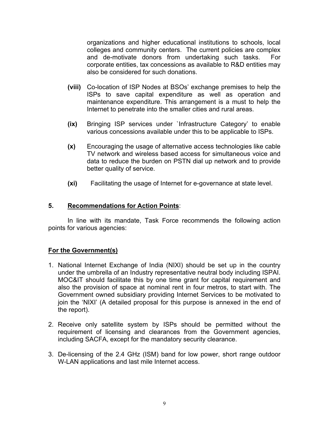organizations and higher educational institutions to schools, local colleges and community centers. The current policies are complex and de-motivate donors from undertaking such tasks. For corporate entities, tax concessions as available to R&D entities may also be considered for such donations.

- **(viii)** Co-location of ISP Nodes at BSOs' exchange premises to help the ISPs to save capital expenditure as well as operation and maintenance expenditure. This arrangement is a must to help the Internet to penetrate into the smaller cities and rural areas.
- **(ix)** Bringing ISP services under `Infrastructure Category' to enable various concessions available under this to be applicable to ISPs.
- **(x)** Encouraging the usage of alternative access technologies like cable TV network and wireless based access for simultaneous voice and data to reduce the burden on PSTN dial up network and to provide better quality of service.
- **(xi)** Facilitating the usage of Internet for e-governance at state level.

#### **5. Recommendations for Action Points**:

In line with its mandate, Task Force recommends the following action points for various agencies:

# **For the Government(s)**

- 1. National Internet Exchange of India (NIXI) should be set up in the country under the umbrella of an Industry representative neutral body including ISPAI. MOC&IT should facilitate this by one time grant for capital requirement and also the provision of space at nominal rent in four metros, to start with. The Government owned subsidiary providing Internet Services to be motivated to join the 'NIXI' (A detailed proposal for this purpose is annexed in the end of the report).
- 2. Receive only satellite system by ISPs should be permitted without the requirement of licensing and clearances from the Government agencies, including SACFA, except for the mandatory security clearance.
- 3. De-licensing of the 2.4 GHz (ISM) band for low power, short range outdoor W-LAN applications and last mile Internet access.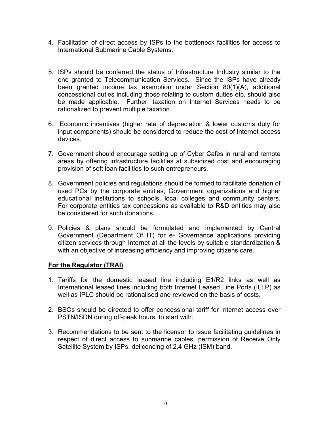- 4. Facilitation of direct access by ISPs to the bottleneck facilities for access to International Submarine Cable Systems.
- 5. ISPs should be conferred the status of Infrastructure Industry similar to the one granted to Telecommunication Services. Since the ISPs have already been granted income tax exemption under Section 80(1)(A), additional concessional duties including those relating to custom duties etc. should also be made applicable. Further, taxation on Internet Services needs to be rationalized to prevent multiple taxation.
- 6. Economic incentives (higher rate of depreciation & lower customs duty for input components) should be considered to reduce the cost of Internet access devices.
- 7. Government should encourage setting up of Cyber Cafes in rural and remote areas by offering infrastructure facilities at subsidized cost and encouraging provision of soft loan facilities to such entrepreneurs.
- 8. Government policies and regulations should be formed to facilitate donation of used PCs by the corporate entities, Government organizations and higher educational institutions to schools, local colleges and community centers. For corporate entities tax concessions as available to R&D entities may also be considered for such donations.
- 9. Policies & plans should be formulated and implemented by Central Government (Department Of IT) for e- Governance applications providing citizen services through Internet at all the levels by suitable standardization & with an objective of increasing efficiency and improving citizens care.

# **For the Regulator (TRAI)**

- 1. Tariffs for the domestic leased line including E1/R2 links as well as International leased lines including both Internet Leased Line Ports (ILLP) as well as IPLC should be rationalised and reviewed on the basis of costs.
- 2. BSOs should be directed to offer concessional tariff for Internet access over PSTN/ISDN during off-peak hours, to start with.
- 3. Recommendations to be sent to the licensor to issue facilitating guidelines in respect of direct access to submarine cables, permission of Receive Only Satellite System by ISPs, delicencing of 2.4 GHz (ISM) band.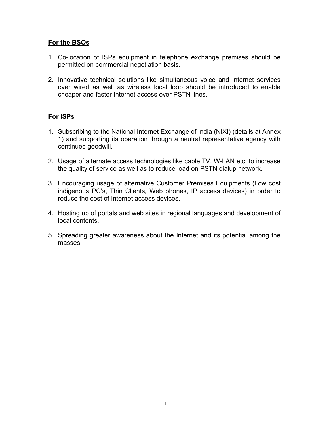#### **For the BSOs**

- 1. Co-location of ISPs equipment in telephone exchange premises should be permitted on commercial negotiation basis.
- 2. Innovative technical solutions like simultaneous voice and Internet services over wired as well as wireless local loop should be introduced to enable cheaper and faster Internet access over PSTN lines.

# **For ISPs**

- 1. Subscribing to the National Internet Exchange of India (NIXI) (details at Annex 1) and supporting its operation through a neutral representative agency with continued goodwill.
- 2. Usage of alternate access technologies like cable TV, W-LAN etc. to increase the quality of service as well as to reduce load on PSTN dialup network.
- 3. Encouraging usage of alternative Customer Premises Equipments (Low cost indigenous PC's, Thin Clients, Web phones, IP access devices) in order to reduce the cost of Internet access devices.
- 4. Hosting up of portals and web sites in regional languages and development of local contents.
- 5. Spreading greater awareness about the Internet and its potential among the masses.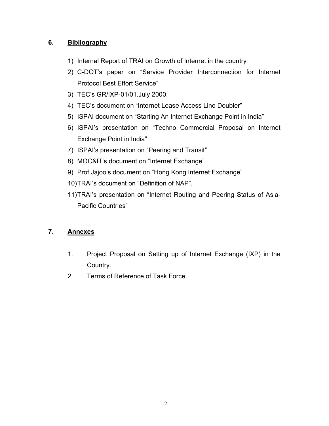# **6. Bibliography**

- 1) Internal Report of TRAI on Growth of Internet in the country
- 2) C-DOT's paper on "Service Provider Interconnection for Internet Protocol Best Effort Service"
- 3) TEC's GR/IXP-01/01.July 2000.
- 4) TEC's document on "Internet Lease Access Line Doubler"
- 5) ISPAI document on "Starting An Internet Exchange Point in India"
- 6) ISPAI's presentation on "Techno Commercial Proposal on Internet Exchange Point in India"
- 7) ISPAI's presentation on "Peering and Transit"
- 8) MOC&IT's document on "Internet Exchange"
- 9) Prof.Jajoo's document on "Hong Kong Internet Exchange"
- 10) TRAI's document on "Definition of NAP".
- 11) TRAI's presentation on "Internet Routing and Peering Status of Asia-Pacific Countries"

# **7. Annexes**

- 1. Project Proposal on Setting up of Internet Exchange (IXP) in the Country.
- 2. Terms of Reference of Task Force.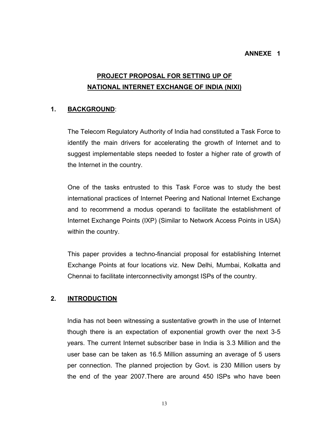#### **ANNEXE 1**

# **PROJECT PROPOSAL FOR SETTING UP OF NATIONAL INTERNET EXCHANGE OF INDIA (NIXI)**

# **1. BACKGROUND**:

The Telecom Regulatory Authority of India had constituted a Task Force to identify the main drivers for accelerating the growth of Internet and to suggest implementable steps needed to foster a higher rate of growth of the Internet in the country.

One of the tasks entrusted to this Task Force was to study the best international practices of Internet Peering and National Internet Exchange and to recommend a modus operandi to facilitate the establishment of Internet Exchange Points (IXP) (Similar to Network Access Points in USA) within the country.

This paper provides a techno-financial proposal for establishing Internet Exchange Points at four locations viz. New Delhi, Mumbai, Kolkatta and Chennai to facilitate interconnectivity amongst ISPs of the country.

# **2. INTRODUCTION**

India has not been witnessing a sustentative growth in the use of Internet though there is an expectation of exponential growth over the next 3-5 years. The current Internet subscriber base in India is 3.3 Million and the user base can be taken as 16.5 Million assuming an average of 5 users per connection. The planned projection by Govt. is 230 Million users by the end of the year 2007.There are around 450 ISPs who have been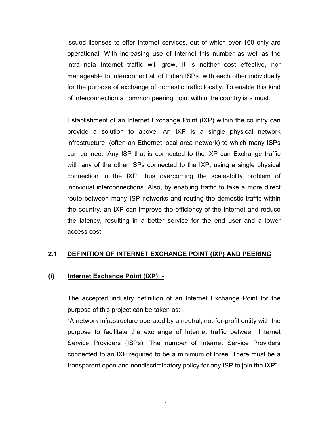issued licenses to offer Internet services, out of which over 160 only are operational. With increasing use of Internet this number as well as the intra-India Internet traffic will grow. It is neither cost effective, nor manageable to interconnect all of Indian ISPs with each other individually for the purpose of exchange of domestic traffic locally. To enable this kind of interconnection a common peering point within the country is a must.

Establishment of an Internet Exchange Point (IXP) within the country can provide a solution to above. An IXP is a single physical network infrastructure, (often an Ethernet local area network) to which many ISPs can connect. Any ISP that is connected to the IXP can Exchange traffic with any of the other ISPs connected to the IXP, using a single physical connection to the IXP, thus overcoming the scaleability problem of individual interconnections. Also, by enabling traffic to take a more direct route between many ISP networks and routing the domestic traffic within the country, an IXP can improve the efficiency of the Internet and reduce the latency, resulting in a better service for the end user and a lower access cost.

#### **2.1 DEFINITION OF INTERNET EXCHANGE POINT (IXP) AND PEERING**

#### **(i) Internet Exchange Point (IXP): -**

The accepted industry definition of an Internet Exchange Point for the purpose of this project can be taken as: -

"A network infrastructure operated by a neutral, not-for-profit entity with the purpose to facilitate the exchange of Internet traffic between Internet Service Providers (ISPs). The number of Internet Service Providers connected to an IXP required to be a minimum of three. There must be a transparent open and nondiscriminatory policy for any ISP to join the IXP".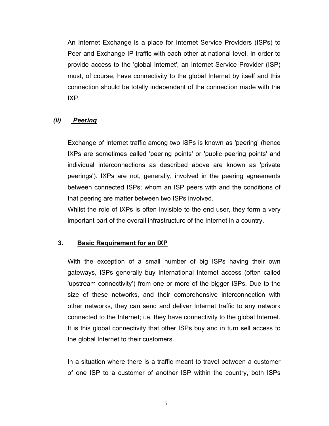An Internet Exchange is a place for Internet Service Providers (ISPs) to Peer and Exchange IP traffic with each other at national level. In order to provide access to the 'global Internet', an Internet Service Provider (ISP) must, of course, have connectivity to the global Internet by itself and this connection should be totally independent of the connection made with the IXP.

#### *(ii) Peering*

Exchange of Internet traffic among two ISPs is known as 'peering' (hence IXPs are sometimes called 'peering points' or 'public peering points' and individual interconnections as described above are known as 'private peerings'). IXPs are not, generally, involved in the peering agreements between connected ISPs; whom an ISP peers with and the conditions of that peering are matter between two ISPs involved.

Whilst the role of IXPs is often invisible to the end user, they form a very important part of the overall infrastructure of the Internet in a country.

#### **3. Basic Requirement for an IXP**

With the exception of a small number of big ISPs having their own gateways, ISPs generally buy International Internet access (often called 'upstream connectivity') from one or more of the bigger ISPs. Due to the size of these networks, and their comprehensive interconnection with other networks, they can send and deliver Internet traffic to any network connected to the Internet; i.e. they have connectivity to the global Internet. It is this global connectivity that other ISPs buy and in turn sell access to the global Internet to their customers.

In a situation where there is a traffic meant to travel between a customer of one ISP to a customer of another ISP within the country, both ISPs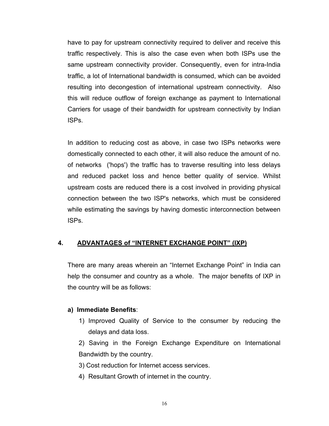have to pay for upstream connectivity required to deliver and receive this traffic respectively. This is also the case even when both ISPs use the same upstream connectivity provider. Consequently, even for intra-India traffic, a lot of International bandwidth is consumed, which can be avoided resulting into decongestion of international upstream connectivity. Also this will reduce outflow of foreign exchange as payment to International Carriers for usage of their bandwidth for upstream connectivity by Indian ISPs.

In addition to reducing cost as above, in case two ISPs networks were domestically connected to each other, it will also reduce the amount of no. of networks ('hops') the traffic has to traverse resulting into less delays and reduced packet loss and hence better quality of service. Whilst upstream costs are reduced there is a cost involved in providing physical connection between the two ISP's networks, which must be considered while estimating the savings by having domestic interconnection between ISPs.

# **4. ADVANTAGES of "INTERNET EXCHANGE POINT" (IXP)**

There are many areas wherein an "Internet Exchange Point" in India can help the consumer and country as a whole. The major benefits of IXP in the country will be as follows:

#### **a) Immediate Benefits**:

1) Improved Quality of Service to the consumer by reducing the delays and data loss.

2) Saving in the Foreign Exchange Expenditure on International Bandwidth by the country.

3) Cost reduction for Internet access services.

4) Resultant Growth of internet in the country.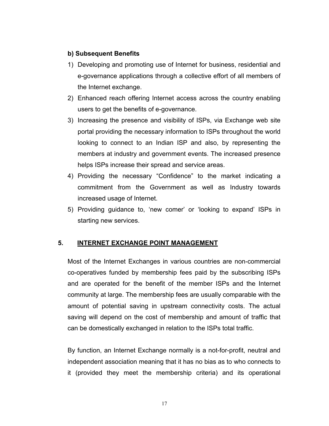#### **b) Subsequent Benefits**

- 1) Developing and promoting use of Internet for business, residential and e-governance applications through a collective effort of all members of the Internet exchange.
- 2) Enhanced reach offering Internet access across the country enabling users to get the benefits of e-governance.
- 3) Increasing the presence and visibility of ISPs, via Exchange web site portal providing the necessary information to ISPs throughout the world looking to connect to an Indian ISP and also, by representing the members at industry and government events. The increased presence helps ISPs increase their spread and service areas.
- 4) Providing the necessary "Confidence" to the market indicating a commitment from the Government as well as Industry towards increased usage of Internet.
- 5) Providing guidance to, 'new comer' or 'looking to expand' ISPs in starting new services.

# **5. INTERNET EXCHANGE POINT MANAGEMENT**

Most of the Internet Exchanges in various countries are non-commercial co-operatives funded by membership fees paid by the subscribing ISPs and are operated for the benefit of the member ISPs and the Internet community at large. The membership fees are usually comparable with the amount of potential saving in upstream connectivity costs. The actual saving will depend on the cost of membership and amount of traffic that can be domestically exchanged in relation to the ISPs total traffic.

By function, an Internet Exchange normally is a not-for-profit, neutral and independent association meaning that it has no bias as to who connects to it (provided they meet the membership criteria) and its operational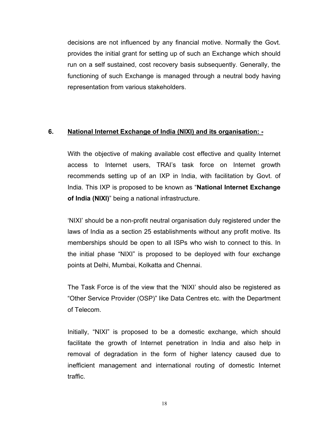decisions are not influenced by any financial motive. Normally the Govt. provides the initial grant for setting up of such an Exchange which should run on a self sustained, cost recovery basis subsequently. Generally, the functioning of such Exchange is managed through a neutral body having representation from various stakeholders.

#### **6. National Internet Exchange of India (NIXI) and its organisation: -**

With the objective of making available cost effective and quality Internet access to Internet users, TRAI's task force on Internet growth recommends setting up of an IXP in India, with facilitation by Govt. of India. This IXP is proposed to be known as "**National Internet Exchange of India (NIXI)**" being a national infrastructure.

'NIXI' should be a non-profit neutral organisation duly registered under the laws of India as a section 25 establishments without any profit motive. Its memberships should be open to all ISPs who wish to connect to this. In the initial phase "NIXI" is proposed to be deployed with four exchange points at Delhi, Mumbai, Kolkatta and Chennai.

The Task Force is of the view that the 'NIXI' should also be registered as "Other Service Provider (OSP)" like Data Centres etc. with the Department of Telecom.

Initially, "NIXI" is proposed to be a domestic exchange, which should facilitate the growth of Internet penetration in India and also help in removal of degradation in the form of higher latency caused due to inefficient management and international routing of domestic Internet traffic.

18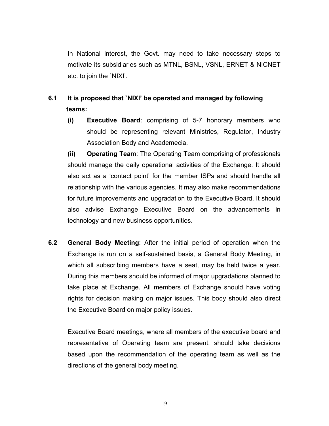In National interest, the Govt. may need to take necessary steps to motivate its subsidiaries such as MTNL, BSNL, VSNL, ERNET & NICNET etc. to join the `NIXI'.

# **6.1 It is proposed that `NIXI' be operated and managed by following teams:**

**(i) Executive Board**: comprising of 5-7 honorary members who should be representing relevant Ministries, Regulator, Industry Association Body and Academecia.

**(ii) Operating Team**: The Operating Team comprising of professionals should manage the daily operational activities of the Exchange. It should also act as a 'contact point' for the member ISPs and should handle all relationship with the various agencies. It may also make recommendations for future improvements and upgradation to the Executive Board. It should also advise Exchange Executive Board on the advancements in technology and new business opportunities.

**6.2 General Body Meeting**: After the initial period of operation when the Exchange is run on a self-sustained basis, a General Body Meeting, in which all subscribing members have a seat, may be held twice a year. During this members should be informed of major upgradations planned to take place at Exchange. All members of Exchange should have voting rights for decision making on major issues. This body should also direct the Executive Board on major policy issues.

Executive Board meetings, where all members of the executive board and representative of Operating team are present, should take decisions based upon the recommendation of the operating team as well as the directions of the general body meeting.

19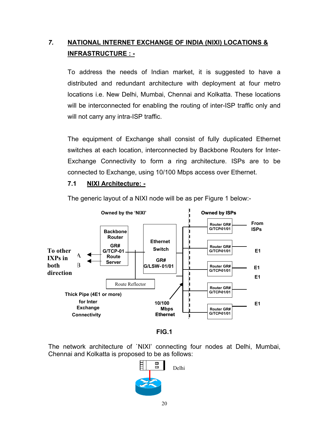# *7.* **NATIONAL INTERNET EXCHANGE OF INDIA (NIXI) LOCATIONS & INFRASTRUCTURE : -**

To address the needs of Indian market, it is suggested to have a distributed and redundant architecture with deployment at four metro locations i.e. New Delhi, Mumbai, Chennai and Kolkatta. These locations will be interconnected for enabling the routing of inter-ISP traffic only and will not carry any intra-ISP traffic.

The equipment of Exchange shall consist of fully duplicated Ethernet switches at each location, interconnected by Backbone Routers for Inter-Exchange Connectivity to form a ring architecture. ISPs are to be connected to Exchange, using 10/100 Mbps access over Ethernet.

#### **7.1 NIXI Architecture: -**



The generic layout of a NIXI node will be as per Figure 1 below:-

**FIG.1** 

The network architecture of `NIXI' connecting four nodes at Delhi, Mumbai, Chennai and Kolkatta is proposed to be as follows:

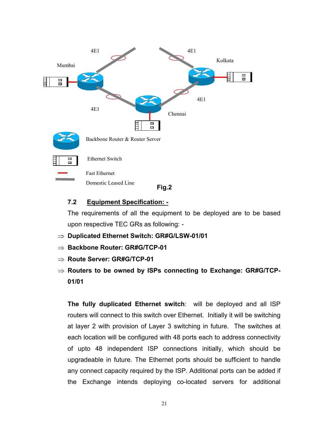

# **7.2 Equipment Specification: -**

The requirements of all the equipment to be deployed are to be based upon respective TEC GRs as following: -

- ⇒ **Duplicated Ethernet Switch: GR#G/LSW-01/01**
- ⇒ **Backbone Router: GR#G/TCP-01**
- ⇒ **Route Server: GR#G/TCP-01**
- ⇒ **Routers to be owned by ISPs connecting to Exchange: GR#G/TCP-01/01**

**The fully duplicated Ethernet switch**: will be deployed and all ISP routers will connect to this switch over Ethernet. Initially it will be switching at layer 2 with provision of Layer 3 switching in future. The switches at each location will be configured with 48 ports each to address connectivity of upto 48 independent ISP connections initially, which should be upgradeable in future. The Ethernet ports should be sufficient to handle any connect capacity required by the ISP. Additional ports can be added if the Exchange intends deploying co-located servers for additional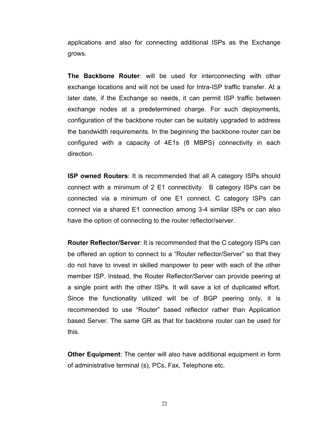applications and also for connecting additional ISPs as the Exchange grows.

**The Backbone Router**: will be used for interconnecting with other exchange locations and will not be used for Intra-ISP traffic transfer. At a later date, if the Exchange so needs, it can permit ISP traffic between exchange nodes at a predetermined charge. For such deployments, configuration of the backbone router can be suitably upgraded to address the bandwidth requirements. In the beginning the backbone router can be configured with a capacity of 4E1s (8 MBPS) connectivity in each direction.

**ISP owned Routers**: It is recommended that all A category ISPs should connect with a minimum of 2 E1 connectivity. B category ISPs can be connected via a minimum of one E1 connect. C category ISPs can connect via a shared E1 connection among 3-4 similar ISPs or can also have the option of connecting to the router reflector/server.

**Router Reflector/Server**: It is recommended that the C category ISPs can be offered an option to connect to a "Router reflector/Server" so that they do not have to invest in skilled manpower to peer with each of the other member ISP. Instead, the Router Reflector/Server can provide peering at a single point with the other ISPs. It will save a lot of duplicated effort. Since the functionality utilized will be of BGP peering only, it is recommended to use "Router" based reflector rather than Application based Server. The same GR as that for backbone router can be used for this.

**Other Equipment**: The center will also have additional equipment in form of administrative terminal (s), PCs, Fax, Telephone etc.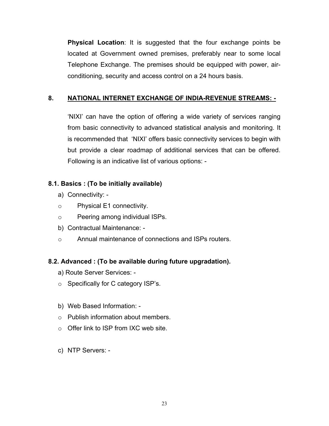**Physical Location**: It is suggested that the four exchange points be located at Government owned premises, preferably near to some local Telephone Exchange. The premises should be equipped with power, airconditioning, security and access control on a 24 hours basis.

# **8. NATIONAL INTERNET EXCHANGE OF INDIA-REVENUE STREAMS: -**

'NIXI' can have the option of offering a wide variety of services ranging from basic connectivity to advanced statistical analysis and monitoring. It is recommended that 'NIXI' offers basic connectivity services to begin with but provide a clear roadmap of additional services that can be offered. Following is an indicative list of various options: -

# **8.1. Basics : (To be initially available)**

- a) Connectivity: -
- o Physical E1 connectivity.
- o Peering among individual ISPs.
- b) Contractual Maintenance: -
- o Annual maintenance of connections and ISPs routers.

# **8.2. Advanced : (To be available during future upgradation).**

- a) Route Server Services: -
- o Specifically for C category ISP's.
- b) Web Based Information: -
- o Publish information about members.
- o Offer link to ISP from IXC web site.
- c) NTP Servers: -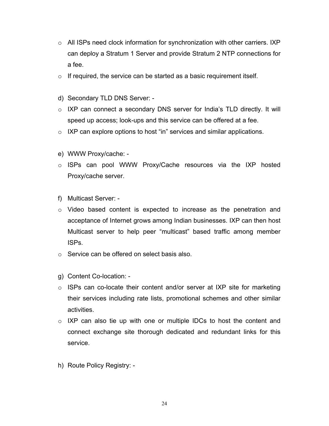- $\circ$  All ISPs need clock information for synchronization with other carriers. IXP can deploy a Stratum 1 Server and provide Stratum 2 NTP connections for a fee.
- $\circ$  If required, the service can be started as a basic requirement itself.
- d) Secondary TLD DNS Server: -
- o IXP can connect a secondary DNS server for India's TLD directly. It will speed up access; look-ups and this service can be offered at a fee.
- $\circ$  IXP can explore options to host "in" services and similar applications.
- e) WWW Proxy/cache: -
- o ISPs can pool WWW Proxy/Cache resources via the IXP hosted Proxy/cache server.
- f) Multicast Server: -
- o Video based content is expected to increase as the penetration and acceptance of Internet grows among Indian businesses. IXP can then host Multicast server to help peer "multicast" based traffic among member ISPs.
- o Service can be offered on select basis also.
- g) Content Co-location: -
- o ISPs can co-locate their content and/or server at IXP site for marketing their services including rate lists, promotional schemes and other similar activities.
- $\circ$  IXP can also tie up with one or multiple IDCs to host the content and connect exchange site thorough dedicated and redundant links for this service.
- h) Route Policy Registry: -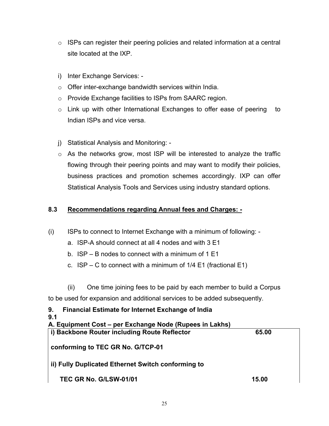- $\circ$  ISPs can register their peering policies and related information at a central site located at the IXP.
- i) Inter Exchange Services: -
- o Offer inter-exchange bandwidth services within India.
- o Provide Exchange facilities to ISPs from SAARC region.
- o Link up with other International Exchanges to offer ease of peering to Indian ISPs and vice versa.
- j) Statistical Analysis and Monitoring: -
- o As the networks grow, most ISP will be interested to analyze the traffic flowing through their peering points and may want to modify their policies, business practices and promotion schemes accordingly. IXP can offer Statistical Analysis Tools and Services using industry standard options.

# **8.3 Recommendations regarding Annual fees and Charges: -**

- (i) ISPs to connect to Internet Exchange with a minimum of following:
	- a. ISP-A should connect at all 4 nodes and with 3 E1
	- b. ISP B nodes to connect with a minimum of 1 E1
	- c.  $ISP C$  to connect with a minimum of  $1/4$  E1 (fractional E1)
	- (ii) One time joining fees to be paid by each member to build a Corpus

to be used for expansion and additional services to be added subsequently.

| 9.<br><b>Financial Estimate for Internet Exchange of India</b> |       |  |
|----------------------------------------------------------------|-------|--|
| 9.1                                                            |       |  |
| A. Equipment Cost – per Exchange Node (Rupees in Lakhs)        |       |  |
| i) Backbone Router including Route Reflector                   | 65.00 |  |
|                                                                |       |  |
| conforming to TEC GR No. G/TCP-01                              |       |  |
|                                                                |       |  |
| ii) Fully Duplicated Ethernet Switch conforming to             |       |  |
|                                                                |       |  |
| <b>TEC GR No. G/LSW-01/01</b>                                  | 15.00 |  |
|                                                                |       |  |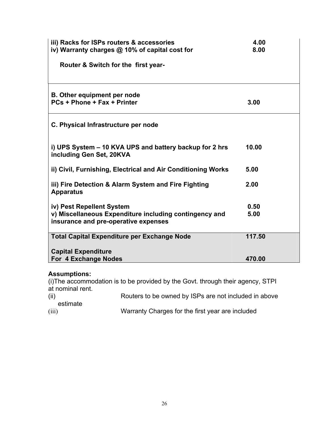| iii) Racks for ISPs routers & accessories<br>iv) Warranty charges @ 10% of capital cost for    | 4.00<br>8.00 |
|------------------------------------------------------------------------------------------------|--------------|
| Router & Switch for the first year-                                                            |              |
|                                                                                                |              |
| <b>B.</b> Other equipment per node                                                             |              |
| PCs + Phone + Fax + Printer                                                                    | 3.00         |
| C. Physical Infrastructure per node                                                            |              |
| i) UPS System – 10 KVA UPS and battery backup for 2 hrs<br>including Gen Set, 20KVA            | 10.00        |
| ii) Civil, Furnishing, Electrical and Air Conditioning Works                                   | 5.00         |
| iii) Fire Detection & Alarm System and Fire Fighting<br><b>Apparatus</b>                       | 2.00         |
| iv) Pest Repellent System                                                                      | 0.50         |
| v) Miscellaneous Expenditure including contingency and<br>insurance and pre-operative expenses | 5.00         |
| <b>Total Capital Expenditure per Exchange Node</b>                                             | 117.50       |
| <b>Capital Expenditure</b>                                                                     |              |
| For 4 Exchange Nodes                                                                           | 470.00       |

# **Assumptions:**

(i)The accommodation is to be provided by the Govt. through their agency, STPI at nominal rent.

| (ii)     | Routers to be owned by ISPs are not included in above |
|----------|-------------------------------------------------------|
| estimate |                                                       |
| (iii)    | Warranty Charges for the first year are included      |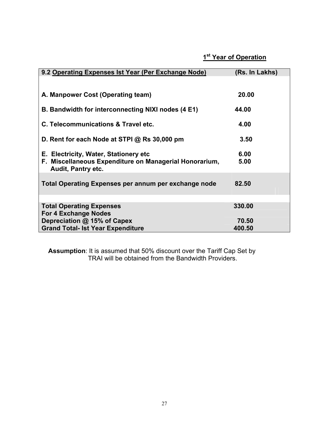# **1st Year of Operation**

| 9.2 Operating Expenses Ist Year (Per Exchange Node)                                              | (Rs. In Lakhs) |
|--------------------------------------------------------------------------------------------------|----------------|
|                                                                                                  |                |
|                                                                                                  |                |
| A. Manpower Cost (Operating team)                                                                | 20.00          |
| B. Bandwidth for interconnecting NIXI nodes (4 E1)                                               | 44.00          |
|                                                                                                  |                |
| C. Telecommunications & Travel etc.                                                              | 4.00           |
|                                                                                                  |                |
| D. Rent for each Node at STPI @ Rs 30,000 pm                                                     | 3.50           |
|                                                                                                  |                |
| E. Electricity, Water, Stationery etc.<br>F. Miscellaneous Expenditure on Managerial Honorarium, | 6.00<br>5.00   |
| <b>Audit, Pantry etc.</b>                                                                        |                |
|                                                                                                  |                |
| Total Operating Expenses per annum per exchange node                                             | 82.50          |
|                                                                                                  |                |
|                                                                                                  |                |
| <b>Total Operating Expenses</b>                                                                  | 330.00         |
| <b>For 4 Exchange Nodes</b><br>Depreciation @ 15% of Capex                                       | 70.50          |
| <b>Grand Total- Ist Year Expenditure</b>                                                         | 400.50         |

**Assumption**: It is assumed that 50% discount over the Tariff Cap Set by TRAI will be obtained from the Bandwidth Providers.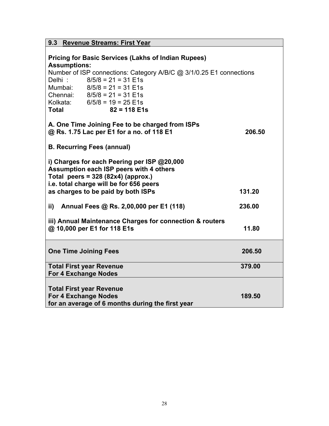| 9.3 Revenue Streams: First Year                                                                                                                                                                                                                                                                                                  |        |  |  |
|----------------------------------------------------------------------------------------------------------------------------------------------------------------------------------------------------------------------------------------------------------------------------------------------------------------------------------|--------|--|--|
| <b>Pricing for Basic Services (Lakhs of Indian Rupees)</b><br><b>Assumptions:</b><br>Number of ISP connections: Category A/B/C @ 3/1/0.25 E1 connections<br>$8/5/8 = 21 = 31$ E1s<br>Delhi:<br>Mumbai: 8/5/8 = 21 = 31 E1s<br>Chennai: $8/5/8 = 21 = 31$ E1s<br>Kolkata: $6/5/8 = 19 = 25$ E1s<br>$82 = 118$ E1s<br><b>Total</b> |        |  |  |
| A. One Time Joining Fee to be charged from ISPs<br>@ Rs. 1.75 Lac per E1 for a no. of 118 E1                                                                                                                                                                                                                                     | 206.50 |  |  |
| <b>B. Recurring Fees (annual)</b>                                                                                                                                                                                                                                                                                                |        |  |  |
| i) Charges for each Peering per ISP @20,000<br>Assumption each ISP peers with 4 others<br>Total peers = $328(82x4)(approx.)$<br>i.e. total charge will be for 656 peers<br>as charges to be paid by both ISPs<br>131.20                                                                                                          |        |  |  |
| ii)<br>Annual Fees @ Rs. 2,00,000 per E1 (118)                                                                                                                                                                                                                                                                                   | 236.00 |  |  |
| iii) Annual Maintenance Charges for connection & routers<br>@ 10,000 per E1 for 118 E1s<br>11.80                                                                                                                                                                                                                                 |        |  |  |
| <b>One Time Joining Fees</b>                                                                                                                                                                                                                                                                                                     | 206.50 |  |  |
| <b>Total First year Revenue</b><br><b>For 4 Exchange Nodes</b>                                                                                                                                                                                                                                                                   | 379.00 |  |  |
| <b>Total First year Revenue</b><br><b>For 4 Exchange Nodes</b><br>for an average of 6 months during the first year                                                                                                                                                                                                               | 189.50 |  |  |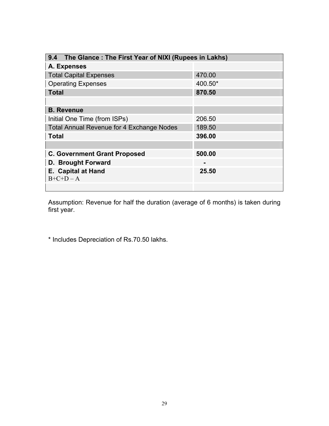| 9.4 The Glance: The First Year of NIXI (Rupees in Lakhs) |         |  |  |
|----------------------------------------------------------|---------|--|--|
| A. Expenses                                              |         |  |  |
| <b>Total Capital Expenses</b>                            | 470.00  |  |  |
| <b>Operating Expenses</b>                                | 400.50* |  |  |
| <b>Total</b>                                             | 870.50  |  |  |
|                                                          |         |  |  |
| <b>B.</b> Revenue                                        |         |  |  |
| Initial One Time (from ISPs)                             | 206.50  |  |  |
| <b>Total Annual Revenue for 4 Exchange Nodes</b>         | 189.50  |  |  |
| <b>Total</b>                                             | 396.00  |  |  |
|                                                          |         |  |  |
| <b>C. Government Grant Proposed</b>                      | 500.00  |  |  |
| D. Brought Forward                                       |         |  |  |
| <b>E. Capital at Hand</b>                                | 25.50   |  |  |
| $B+C+D-A$                                                |         |  |  |
|                                                          |         |  |  |

Assumption: Revenue for half the duration (average of 6 months) is taken during first year.

\* Includes Depreciation of Rs.70.50 lakhs.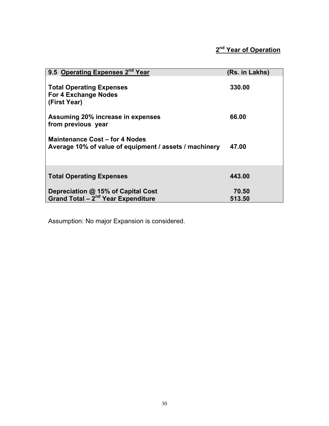| 9.5 Operating Expenses 2 <sup>nd</sup> Year                                              | (Rs. in Lakhs) |
|------------------------------------------------------------------------------------------|----------------|
| <b>Total Operating Expenses</b><br><b>For 4 Exchange Nodes</b><br>(First Year)           | 330.00         |
| Assuming 20% increase in expenses<br>from previous year                                  | 66.00          |
| Maintenance Cost – for 4 Nodes<br>Average 10% of value of equipment / assets / machinery | 47.00          |
| <b>Total Operating Expenses</b>                                                          | 443.00         |
| Depreciation @ 15% of Capital Cost                                                       | 70.50          |
| Grand Total $-\overline{2}^{nd}$ Year Expenditure                                        | 513.50         |

Assumption: No major Expansion is considered.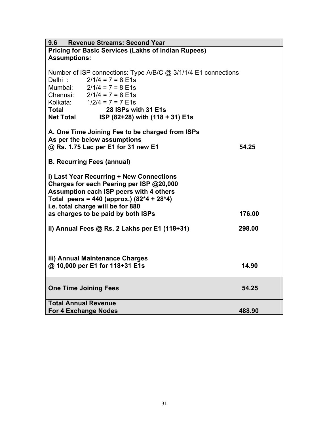| <b>Revenue Streams: Second Year</b><br>9.6                     |        |  |  |
|----------------------------------------------------------------|--------|--|--|
| <b>Pricing for Basic Services (Lakhs of Indian Rupees)</b>     |        |  |  |
| <b>Assumptions:</b>                                            |        |  |  |
|                                                                |        |  |  |
| Number of ISP connections: Type A/B/C @ 3/1/1/4 E1 connections |        |  |  |
| $2/1/4 = 7 = 8$ E1s<br>Delhi:                                  |        |  |  |
| Mumbai: $2/1/4 = 7 = 8$ E1s                                    |        |  |  |
| Chennai: $2/1/4 = 7 = 8$ E1s                                   |        |  |  |
| Kolkata: $1/2/4 = 7 = 7$ E1s                                   |        |  |  |
| <b>Total</b><br>28 ISPs with 31 E1s                            |        |  |  |
| <b>Net Total</b><br>ISP (82+28) with (118 + 31) E1s            |        |  |  |
|                                                                |        |  |  |
| A. One Time Joining Fee to be charged from ISPs                |        |  |  |
| As per the below assumptions                                   |        |  |  |
| @ Rs. 1.75 Lac per E1 for 31 new E1                            | 54.25  |  |  |
|                                                                |        |  |  |
| <b>B. Recurring Fees (annual)</b>                              |        |  |  |
|                                                                |        |  |  |
| i) Last Year Recurring + New Connections                       |        |  |  |
| Charges for each Peering per ISP @20,000                       |        |  |  |
| Assumption each ISP peers with 4 others                        |        |  |  |
| Total peers = 440 (approx.) $(82*4 + 28*4)$                    |        |  |  |
| i.e. total charge will be for 880                              |        |  |  |
| as charges to be paid by both ISPs                             | 176.00 |  |  |
|                                                                |        |  |  |
| ii) Annual Fees @ Rs. 2 Lakhs per E1 (118+31)                  | 298.00 |  |  |
|                                                                |        |  |  |
|                                                                |        |  |  |
|                                                                |        |  |  |
| iii) Annual Maintenance Charges                                |        |  |  |
| @ 10,000 per E1 for 118+31 E1s                                 | 14.90  |  |  |
|                                                                |        |  |  |
|                                                                |        |  |  |
| <b>One Time Joining Fees</b>                                   | 54.25  |  |  |
|                                                                |        |  |  |
| <b>Total Annual Revenue</b>                                    |        |  |  |
| <b>For 4 Exchange Nodes</b>                                    | 488.90 |  |  |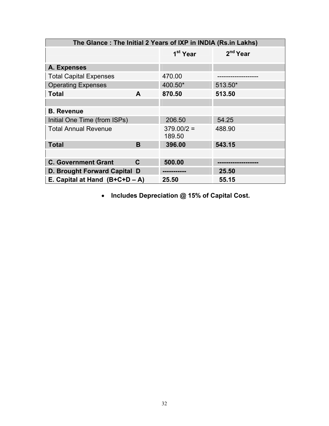| The Glance: The Initial 2 Years of IXP in INDIA (Rs.in Lakhs) |              |                        |            |
|---------------------------------------------------------------|--------------|------------------------|------------|
|                                                               |              | 1 <sup>st</sup> Year   | $2nd$ Year |
| A. Expenses                                                   |              |                        |            |
| <b>Total Capital Expenses</b>                                 |              | 470.00                 |            |
| <b>Operating Expenses</b>                                     |              | 400.50*                | 513.50*    |
| <b>Total</b>                                                  | A            | 870.50                 | 513.50     |
|                                                               |              |                        |            |
| <b>B.</b> Revenue                                             |              |                        |            |
| Initial One Time (from ISPs)                                  |              | 206.50                 | 54.25      |
| <b>Total Annual Revenue</b>                                   |              | $379.00/2 =$<br>189.50 | 488.90     |
| <b>Total</b>                                                  | B            | 396.00                 | 543.15     |
|                                                               |              |                        |            |
| <b>C. Government Grant</b>                                    | $\mathbf{C}$ | 500.00                 |            |
| D. Brought Forward Capital D                                  |              |                        | 25.50      |
| E. Capital at Hand $(B+C+D-A)$                                |              | 25.50                  | 55.15      |

• **Includes Depreciation @ 15% of Capital Cost.**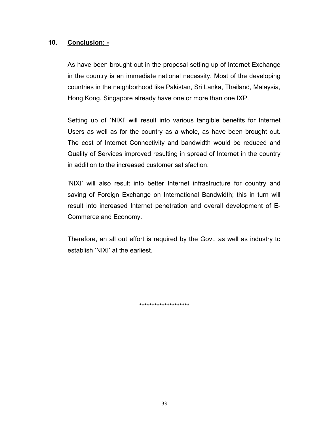#### **10. Conclusion: -**

As have been brought out in the proposal setting up of Internet Exchange in the country is an immediate national necessity. Most of the developing countries in the neighborhood like Pakistan, Sri Lanka, Thailand, Malaysia, Hong Kong, Singapore already have one or more than one IXP.

Setting up of `NIXI' will result into various tangible benefits for Internet Users as well as for the country as a whole, as have been brought out. The cost of Internet Connectivity and bandwidth would be reduced and Quality of Services improved resulting in spread of Internet in the country in addition to the increased customer satisfaction.

'NIXI' will also result into better Internet infrastructure for country and saving of Foreign Exchange on International Bandwidth; this in turn will result into increased Internet penetration and overall development of E-Commerce and Economy.

Therefore, an all out effort is required by the Govt. as well as industry to establish 'NIXI' at the earliest.

\*\*\*\*\*\*\*\*\*\*\*\*\*\*\*\*\*\*\*\*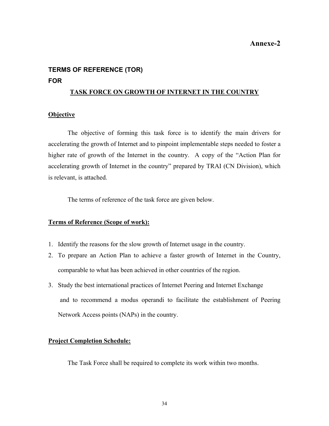#### **Annexe-2**

# **TERMS OF REFERENCE (TOR) FOR**

#### **TASK FORCE ON GROWTH OF INTERNET IN THE COUNTRY**

#### **Objective**

The objective of forming this task force is to identify the main drivers for accelerating the growth of Internet and to pinpoint implementable steps needed to foster a higher rate of growth of the Internet in the country. A copy of the "Action Plan for accelerating growth of Internet in the country" prepared by TRAI (CN Division), which is relevant, is attached.

The terms of reference of the task force are given below.

#### **Terms of Reference (Scope of work):**

- 1. Identify the reasons for the slow growth of Internet usage in the country.
- 2. To prepare an Action Plan to achieve a faster growth of Internet in the Country, comparable to what has been achieved in other countries of the region.
- 3. Study the best international practices of Internet Peering and Internet Exchange and to recommend a modus operandi to facilitate the establishment of Peering Network Access points (NAPs) in the country.

#### **Project Completion Schedule:**

The Task Force shall be required to complete its work within two months.